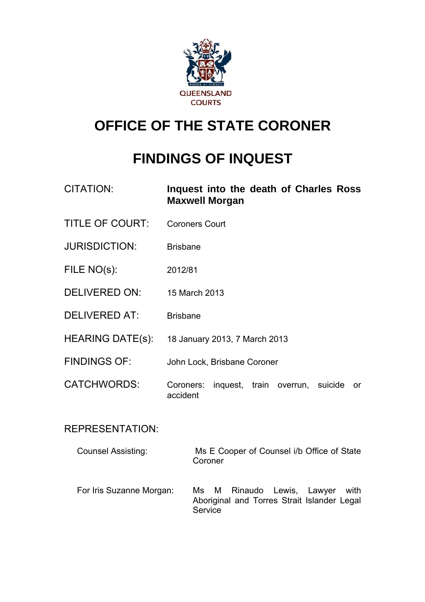

## **OFFICE OF THE STATE CORONER**

# **FINDINGS OF INQUEST**

| <b>CITATION:</b>          | Inquest into the death of Charles Ross<br><b>Maxwell Morgan</b>                                        |
|---------------------------|--------------------------------------------------------------------------------------------------------|
| <b>TITLE OF COURT:</b>    | <b>Coroners Court</b>                                                                                  |
| <b>JURISDICTION:</b>      | <b>Brisbane</b>                                                                                        |
| FILE NO(s):               | 2012/81                                                                                                |
| <b>DELIVERED ON:</b>      | 15 March 2013                                                                                          |
| <b>DELIVERED AT:</b>      | <b>Brisbane</b>                                                                                        |
| <b>HEARING DATE(s):</b>   | 18 January 2013, 7 March 2013                                                                          |
| <b>FINDINGS OF:</b>       | John Lock, Brisbane Coroner                                                                            |
| <b>CATCHWORDS:</b>        | inquest, train overrun, suicide<br>Coroners:<br>or<br>accident                                         |
| <b>REPRESENTATION:</b>    |                                                                                                        |
| <b>Counsel Assisting:</b> | Ms E Cooper of Counsel i/b Office of State<br>Coroner                                                  |
| For Iris Suzanne Morgan:  | М<br>Rinaudo<br>Lewis, Lawyer<br>Ms.<br>with<br>Aboriginal and Torres Strait Islander Legal<br>Service |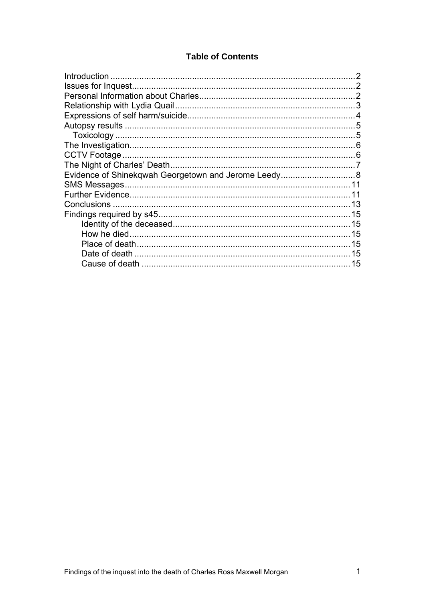## **Table of Contents**

| 5  |
|----|
|    |
|    |
|    |
|    |
|    |
| 11 |
|    |
|    |
|    |
| 15 |
| 15 |
| 15 |
| 15 |
|    |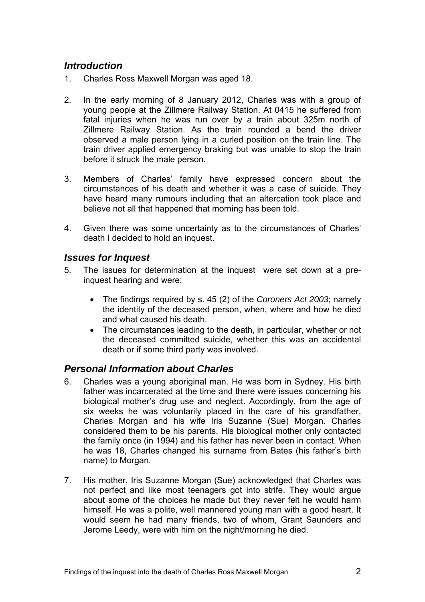## <span id="page-2-0"></span>*Introduction*

- 1. Charles Ross Maxwell Morgan was aged 18.
- 2. In the early morning of 8 January 2012, Charles was with a group of young people at the Zillmere Railway Station. At 0415 he suffered from fatal injuries when he was run over by a train about 325m north of Zillmere Railway Station. As the train rounded a bend the driver observed a male person lying in a curled position on the train line. The train driver applied emergency braking but was unable to stop the train before it struck the male person.
- 3. Members of Charles' family have expressed concern about the circumstances of his death and whether it was a case of suicide. They have heard many rumours including that an altercation took place and believe not all that happened that morning has been told.
- 4. Given there was some uncertainty as to the circumstances of Charles' death I decided to hold an inquest.

#### *Issues for Inquest*

- 5. The issues for determination at the inquest were set down at a preinquest hearing and were:
	- The findings required by s. 45 (2) of the *Coroners Act 2003*; namely the identity of the deceased person, when, where and how he died and what caused his death.
	- The circumstances leading to the death, in particular, whether or not the deceased committed suicide, whether this was an accidental death or if some third party was involved.

## *Personal Information about Charles*

- 6. Charles was a young aboriginal man. He was born in Sydney. His birth father was incarcerated at the time and there were issues concerning his biological mother's drug use and neglect. Accordingly, from the age of six weeks he was voluntarily placed in the care of his grandfather, Charles Morgan and his wife Iris Suzanne (Sue) Morgan. Charles considered them to be his parents. His biological mother only contacted the family once (in 1994) and his father has never been in contact. When he was 18, Charles changed his surname from Bates (his father's birth name) to Morgan.
- 7. His mother, Iris Suzanne Morgan (Sue) acknowledged that Charles was not perfect and like most teenagers got into strife. They would argue about some of the choices he made but they never felt he would harm himself. He was a polite, well mannered young man with a good heart. It would seem he had many friends, two of whom, Grant Saunders and Jerome Leedy, were with him on the night/morning he died.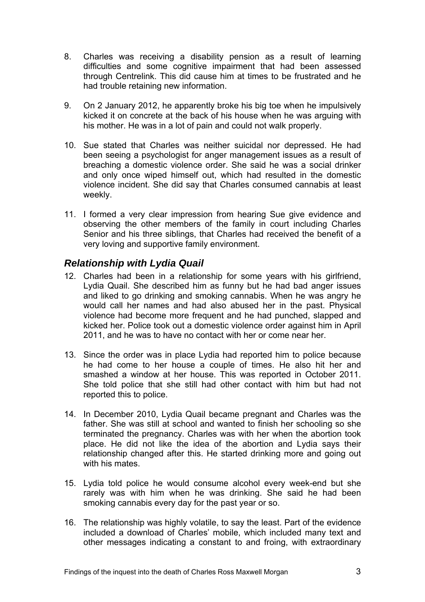- <span id="page-3-0"></span>8. Charles was receiving a disability pension as a result of learning difficulties and some cognitive impairment that had been assessed through Centrelink. This did cause him at times to be frustrated and he had trouble retaining new information.
- 9. On 2 January 2012, he apparently broke his big toe when he impulsively kicked it on concrete at the back of his house when he was arguing with his mother. He was in a lot of pain and could not walk properly.
- 10. Sue stated that Charles was neither suicidal nor depressed. He had been seeing a psychologist for anger management issues as a result of breaching a domestic violence order. She said he was a social drinker and only once wiped himself out, which had resulted in the domestic violence incident. She did say that Charles consumed cannabis at least weekly.
- 11. I formed a very clear impression from hearing Sue give evidence and observing the other members of the family in court including Charles Senior and his three siblings, that Charles had received the benefit of a very loving and supportive family environment.

## *Relationship with Lydia Quail*

- 12. Charles had been in a relationship for some years with his girlfriend, Lydia Quail. She described him as funny but he had bad anger issues and liked to go drinking and smoking cannabis. When he was angry he would call her names and had also abused her in the past. Physical violence had become more frequent and he had punched, slapped and kicked her. Police took out a domestic violence order against him in April 2011, and he was to have no contact with her or come near her.
- 13. Since the order was in place Lydia had reported him to police because he had come to her house a couple of times. He also hit her and smashed a window at her house. This was reported in October 2011. She told police that she still had other contact with him but had not reported this to police.
- 14. In December 2010, Lydia Quail became pregnant and Charles was the father. She was still at school and wanted to finish her schooling so she terminated the pregnancy. Charles was with her when the abortion took place. He did not like the idea of the abortion and Lydia says their relationship changed after this. He started drinking more and going out with his mates.
- 15. Lydia told police he would consume alcohol every week-end but she rarely was with him when he was drinking. She said he had been smoking cannabis every day for the past year or so.
- 16. The relationship was highly volatile, to say the least. Part of the evidence included a download of Charles' mobile, which included many text and other messages indicating a constant to and froing, with extraordinary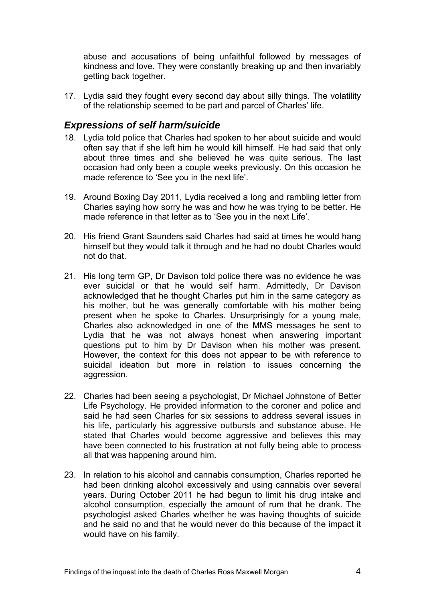<span id="page-4-0"></span>abuse and accusations of being unfaithful followed by messages of kindness and love. They were constantly breaking up and then invariably getting back together.

17. Lydia said they fought every second day about silly things. The volatility of the relationship seemed to be part and parcel of Charles' life.

#### *Expressions of self harm/suicide*

- 18. Lydia told police that Charles had spoken to her about suicide and would often say that if she left him he would kill himself. He had said that only about three times and she believed he was quite serious. The last occasion had only been a couple weeks previously. On this occasion he made reference to 'See you in the next life'.
- 19. Around Boxing Day 2011, Lydia received a long and rambling letter from Charles saying how sorry he was and how he was trying to be better. He made reference in that letter as to 'See you in the next Life'.
- 20. His friend Grant Saunders said Charles had said at times he would hang himself but they would talk it through and he had no doubt Charles would not do that.
- 21. His long term GP, Dr Davison told police there was no evidence he was ever suicidal or that he would self harm. Admittedly, Dr Davison acknowledged that he thought Charles put him in the same category as his mother, but he was generally comfortable with his mother being present when he spoke to Charles. Unsurprisingly for a young male, Charles also acknowledged in one of the MMS messages he sent to Lydia that he was not always honest when answering important questions put to him by Dr Davison when his mother was present. However, the context for this does not appear to be with reference to suicidal ideation but more in relation to issues concerning the aggression.
- 22. Charles had been seeing a psychologist, Dr Michael Johnstone of Better Life Psychology. He provided information to the coroner and police and said he had seen Charles for six sessions to address several issues in his life, particularly his aggressive outbursts and substance abuse. He stated that Charles would become aggressive and believes this may have been connected to his frustration at not fully being able to process all that was happening around him.
- 23. In relation to his alcohol and cannabis consumption, Charles reported he had been drinking alcohol excessively and using cannabis over several years. During October 2011 he had begun to limit his drug intake and alcohol consumption, especially the amount of rum that he drank. The psychologist asked Charles whether he was having thoughts of suicide and he said no and that he would never do this because of the impact it would have on his family.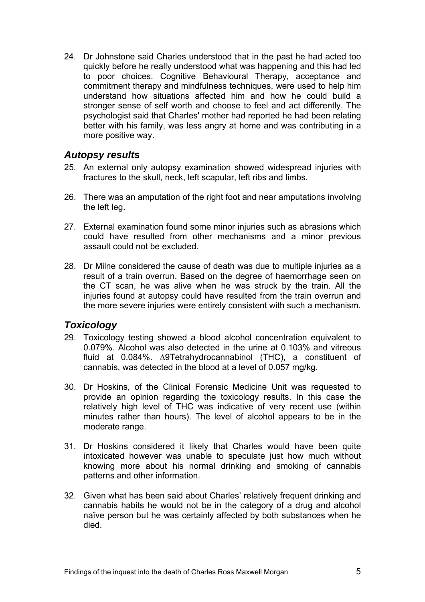<span id="page-5-0"></span>24. Dr Johnstone said Charles understood that in the past he had acted too quickly before he really understood what was happening and this had led to poor choices. Cognitive Behavioural Therapy, acceptance and commitment therapy and mindfulness techniques, were used to help him understand how situations affected him and how he could build a stronger sense of self worth and choose to feel and act differently. The psychologist said that Charles' mother had reported he had been relating better with his family, was less angry at home and was contributing in a more positive way.

#### *Autopsy results*

- 25. An external only autopsy examination showed widespread injuries with fractures to the skull, neck, left scapular, left ribs and limbs.
- 26. There was an amputation of the right foot and near amputations involving the left leg.
- 27. External examination found some minor injuries such as abrasions which could have resulted from other mechanisms and a minor previous assault could not be excluded.
- 28. Dr Milne considered the cause of death was due to multiple injuries as a result of a train overrun. Based on the degree of haemorrhage seen on the CT scan, he was alive when he was struck by the train. All the injuries found at autopsy could have resulted from the train overrun and the more severe injuries were entirely consistent with such a mechanism.

## *Toxicology*

- 29. Toxicology testing showed a blood alcohol concentration equivalent to 0.079%. Alcohol was also detected in the urine at 0.103% and vitreous fluid at 0.084%. ∆9Tetrahydrocannabinol (THC), a constituent of cannabis, was detected in the blood at a level of 0.057 mg/kg.
- 30. Dr Hoskins, of the Clinical Forensic Medicine Unit was requested to provide an opinion regarding the toxicology results. In this case the relatively high level of THC was indicative of very recent use (within minutes rather than hours). The level of alcohol appears to be in the moderate range.
- 31. Dr Hoskins considered it likely that Charles would have been quite intoxicated however was unable to speculate just how much without knowing more about his normal drinking and smoking of cannabis patterns and other information.
- 32. Given what has been said about Charles' relatively frequent drinking and cannabis habits he would not be in the category of a drug and alcohol naïve person but he was certainly affected by both substances when he died.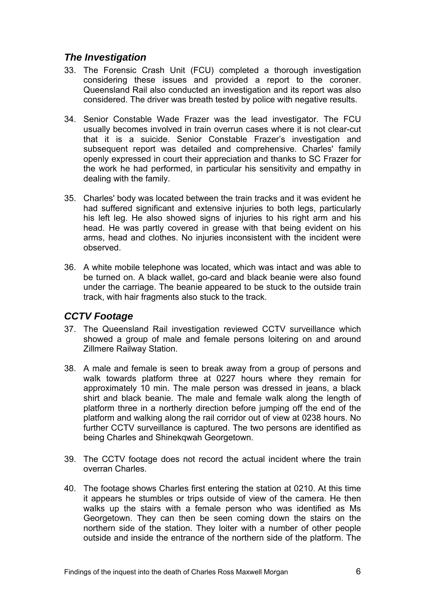## <span id="page-6-0"></span>*The Investigation*

- 33. The Forensic Crash Unit (FCU) completed a thorough investigation considering these issues and provided a report to the coroner. Queensland Rail also conducted an investigation and its report was also considered. The driver was breath tested by police with negative results.
- 34. Senior Constable Wade Frazer was the lead investigator. The FCU usually becomes involved in train overrun cases where it is not clear-cut that it is a suicide. Senior Constable Frazer's investigation and subsequent report was detailed and comprehensive. Charles' family openly expressed in court their appreciation and thanks to SC Frazer for the work he had performed, in particular his sensitivity and empathy in dealing with the family.
- 35. Charles' body was located between the train tracks and it was evident he had suffered significant and extensive injuries to both legs, particularly his left leg. He also showed signs of injuries to his right arm and his head. He was partly covered in grease with that being evident on his arms, head and clothes. No injuries inconsistent with the incident were observed.
- 36. A white mobile telephone was located, which was intact and was able to be turned on. A black wallet, go-card and black beanie were also found under the carriage. The beanie appeared to be stuck to the outside train track, with hair fragments also stuck to the track.

## *CCTV Footage*

- 37. The Queensland Rail investigation reviewed CCTV surveillance which showed a group of male and female persons loitering on and around Zillmere Railway Station.
- 38. A male and female is seen to break away from a group of persons and walk towards platform three at 0227 hours where they remain for approximately 10 min. The male person was dressed in jeans, a black shirt and black beanie. The male and female walk along the length of platform three in a northerly direction before jumping off the end of the platform and walking along the rail corridor out of view at 0238 hours. No further CCTV surveillance is captured. The two persons are identified as being Charles and Shinekqwah Georgetown.
- 39. The CCTV footage does not record the actual incident where the train overran Charles.
- 40. The footage shows Charles first entering the station at 0210. At this time it appears he stumbles or trips outside of view of the camera. He then walks up the stairs with a female person who was identified as Ms Georgetown. They can then be seen coming down the stairs on the northern side of the station. They loiter with a number of other people outside and inside the entrance of the northern side of the platform. The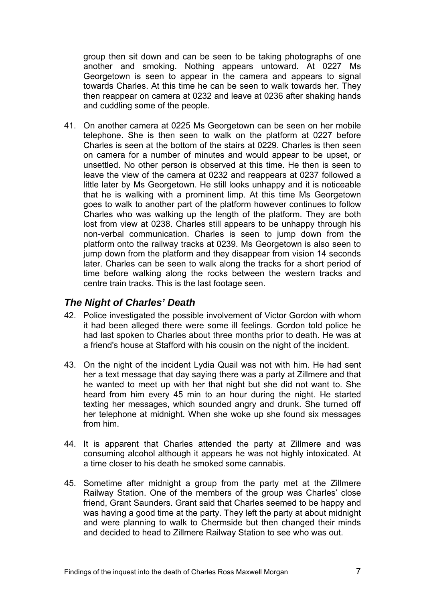<span id="page-7-0"></span>group then sit down and can be seen to be taking photographs of one another and smoking. Nothing appears untoward. At 0227 Ms Georgetown is seen to appear in the camera and appears to signal towards Charles. At this time he can be seen to walk towards her. They then reappear on camera at 0232 and leave at 0236 after shaking hands and cuddling some of the people.

41. On another camera at 0225 Ms Georgetown can be seen on her mobile telephone. She is then seen to walk on the platform at 0227 before Charles is seen at the bottom of the stairs at 0229. Charles is then seen on camera for a number of minutes and would appear to be upset, or unsettled. No other person is observed at this time. He then is seen to leave the view of the camera at 0232 and reappears at 0237 followed a little later by Ms Georgetown. He still looks unhappy and it is noticeable that he is walking with a prominent limp. At this time Ms Georgetown goes to walk to another part of the platform however continues to follow Charles who was walking up the length of the platform. They are both lost from view at 0238. Charles still appears to be unhappy through his non-verbal communication. Charles is seen to jump down from the platform onto the railway tracks at 0239. Ms Georgetown is also seen to jump down from the platform and they disappear from vision 14 seconds later. Charles can be seen to walk along the tracks for a short period of time before walking along the rocks between the western tracks and centre train tracks. This is the last footage seen.

#### *The Night of Charles' Death*

- 42. Police investigated the possible involvement of Victor Gordon with whom it had been alleged there were some ill feelings. Gordon told police he had last spoken to Charles about three months prior to death. He was at a friend's house at Stafford with his cousin on the night of the incident.
- 43. On the night of the incident Lydia Quail was not with him. He had sent her a text message that day saying there was a party at Zillmere and that he wanted to meet up with her that night but she did not want to. She heard from him every 45 min to an hour during the night. He started texting her messages, which sounded angry and drunk. She turned off her telephone at midnight. When she woke up she found six messages from him.
- 44. It is apparent that Charles attended the party at Zillmere and was consuming alcohol although it appears he was not highly intoxicated. At a time closer to his death he smoked some cannabis.
- 45. Sometime after midnight a group from the party met at the Zillmere Railway Station. One of the members of the group was Charles' close friend, Grant Saunders. Grant said that Charles seemed to be happy and was having a good time at the party. They left the party at about midnight and were planning to walk to Chermside but then changed their minds and decided to head to Zillmere Railway Station to see who was out.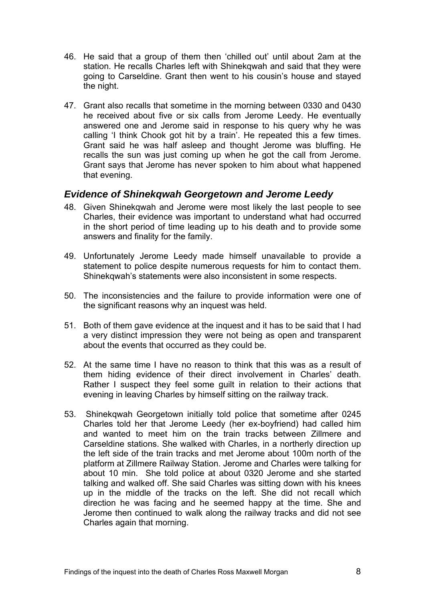- <span id="page-8-0"></span>46. He said that a group of them then 'chilled out' until about 2am at the station. He recalls Charles left with Shinekqwah and said that they were going to Carseldine. Grant then went to his cousin's house and stayed the night.
- 47. Grant also recalls that sometime in the morning between 0330 and 0430 he received about five or six calls from Jerome Leedy. He eventually answered one and Jerome said in response to his query why he was calling 'I think Chook got hit by a train'. He repeated this a few times. Grant said he was half asleep and thought Jerome was bluffing. He recalls the sun was just coming up when he got the call from Jerome. Grant says that Jerome has never spoken to him about what happened that evening.

#### *Evidence of Shinekqwah Georgetown and Jerome Leedy*

- 48. Given Shinekqwah and Jerome were most likely the last people to see Charles, their evidence was important to understand what had occurred in the short period of time leading up to his death and to provide some answers and finality for the family.
- 49. Unfortunately Jerome Leedy made himself unavailable to provide a statement to police despite numerous requests for him to contact them. Shinekqwah's statements were also inconsistent in some respects.
- 50. The inconsistencies and the failure to provide information were one of the significant reasons why an inquest was held.
- 51. Both of them gave evidence at the inquest and it has to be said that I had a very distinct impression they were not being as open and transparent about the events that occurred as they could be.
- 52. At the same time I have no reason to think that this was as a result of them hiding evidence of their direct involvement in Charles' death. Rather I suspect they feel some guilt in relation to their actions that evening in leaving Charles by himself sitting on the railway track.
- 53. Shinekqwah Georgetown initially told police that sometime after 0245 Charles told her that Jerome Leedy (her ex-boyfriend) had called him and wanted to meet him on the train tracks between Zillmere and Carseldine stations. She walked with Charles, in a northerly direction up the left side of the train tracks and met Jerome about 100m north of the platform at Zillmere Railway Station. Jerome and Charles were talking for about 10 min. She told police at about 0320 Jerome and she started talking and walked off. She said Charles was sitting down with his knees up in the middle of the tracks on the left. She did not recall which direction he was facing and he seemed happy at the time. She and Jerome then continued to walk along the railway tracks and did not see Charles again that morning.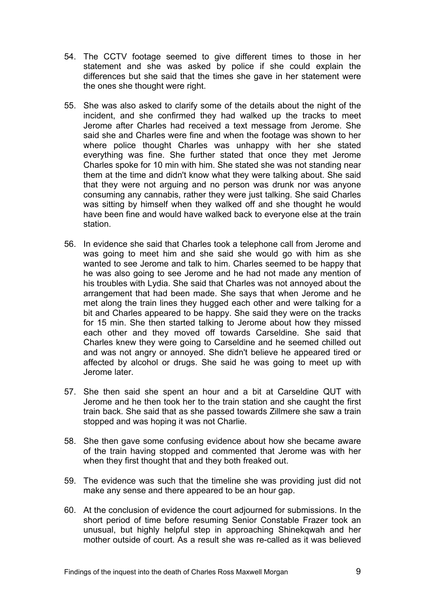- 54. The CCTV footage seemed to give different times to those in her statement and she was asked by police if she could explain the differences but she said that the times she gave in her statement were the ones she thought were right.
- 55. She was also asked to clarify some of the details about the night of the incident, and she confirmed they had walked up the tracks to meet Jerome after Charles had received a text message from Jerome. She said she and Charles were fine and when the footage was shown to her where police thought Charles was unhappy with her she stated everything was fine. She further stated that once they met Jerome Charles spoke for 10 min with him. She stated she was not standing near them at the time and didn't know what they were talking about. She said that they were not arguing and no person was drunk nor was anyone consuming any cannabis, rather they were just talking. She said Charles was sitting by himself when they walked off and she thought he would have been fine and would have walked back to everyone else at the train station.
- 56. In evidence she said that Charles took a telephone call from Jerome and was going to meet him and she said she would go with him as she wanted to see Jerome and talk to him. Charles seemed to be happy that he was also going to see Jerome and he had not made any mention of his troubles with Lydia. She said that Charles was not annoyed about the arrangement that had been made. She says that when Jerome and he met along the train lines they hugged each other and were talking for a bit and Charles appeared to be happy. She said they were on the tracks for 15 min. She then started talking to Jerome about how they missed each other and they moved off towards Carseldine. She said that Charles knew they were going to Carseldine and he seemed chilled out and was not angry or annoyed. She didn't believe he appeared tired or affected by alcohol or drugs. She said he was going to meet up with Jerome later.
- 57. She then said she spent an hour and a bit at Carseldine QUT with Jerome and he then took her to the train station and she caught the first train back. She said that as she passed towards Zillmere she saw a train stopped and was hoping it was not Charlie.
- 58. She then gave some confusing evidence about how she became aware of the train having stopped and commented that Jerome was with her when they first thought that and they both freaked out.
- 59. The evidence was such that the timeline she was providing just did not make any sense and there appeared to be an hour gap.
- 60. At the conclusion of evidence the court adjourned for submissions. In the short period of time before resuming Senior Constable Frazer took an unusual, but highly helpful step in approaching Shinekqwah and her mother outside of court. As a result she was re-called as it was believed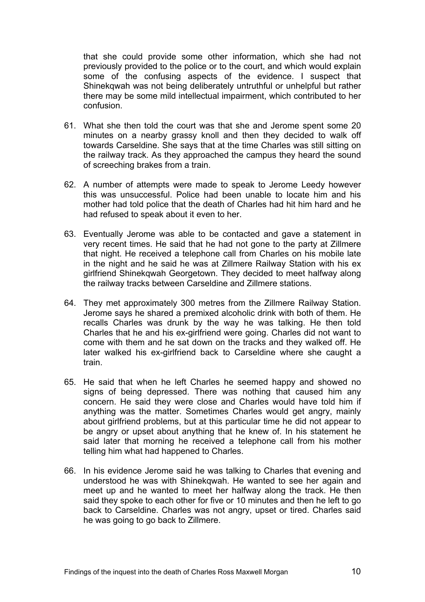that she could provide some other information, which she had not previously provided to the police or to the court, and which would explain some of the confusing aspects of the evidence. I suspect that Shinekqwah was not being deliberately untruthful or unhelpful but rather there may be some mild intellectual impairment, which contributed to her confusion.

- 61. What she then told the court was that she and Jerome spent some 20 minutes on a nearby grassy knoll and then they decided to walk off towards Carseldine. She says that at the time Charles was still sitting on the railway track. As they approached the campus they heard the sound of screeching brakes from a train.
- 62. A number of attempts were made to speak to Jerome Leedy however this was unsuccessful. Police had been unable to locate him and his mother had told police that the death of Charles had hit him hard and he had refused to speak about it even to her.
- 63. Eventually Jerome was able to be contacted and gave a statement in very recent times. He said that he had not gone to the party at Zillmere that night. He received a telephone call from Charles on his mobile late in the night and he said he was at Zillmere Railway Station with his ex girlfriend Shinekqwah Georgetown. They decided to meet halfway along the railway tracks between Carseldine and Zillmere stations.
- 64. They met approximately 300 metres from the Zillmere Railway Station. Jerome says he shared a premixed alcoholic drink with both of them. He recalls Charles was drunk by the way he was talking. He then told Charles that he and his ex-girlfriend were going. Charles did not want to come with them and he sat down on the tracks and they walked off. He later walked his ex-girlfriend back to Carseldine where she caught a train.
- 65. He said that when he left Charles he seemed happy and showed no signs of being depressed. There was nothing that caused him any concern. He said they were close and Charles would have told him if anything was the matter. Sometimes Charles would get angry, mainly about girlfriend problems, but at this particular time he did not appear to be angry or upset about anything that he knew of. In his statement he said later that morning he received a telephone call from his mother telling him what had happened to Charles.
- 66. In his evidence Jerome said he was talking to Charles that evening and understood he was with Shinekqwah. He wanted to see her again and meet up and he wanted to meet her halfway along the track. He then said they spoke to each other for five or 10 minutes and then he left to go back to Carseldine. Charles was not angry, upset or tired. Charles said he was going to go back to Zillmere.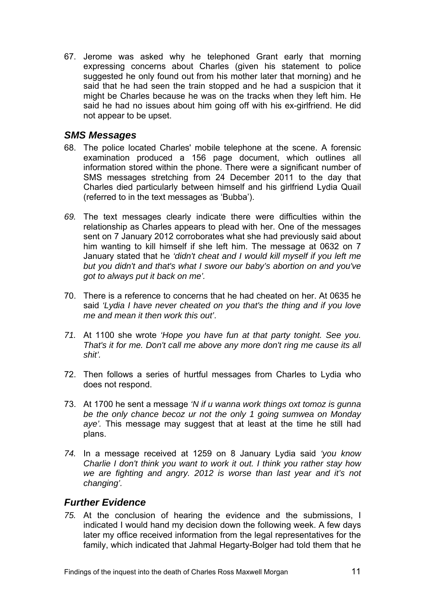<span id="page-11-0"></span>67. Jerome was asked why he telephoned Grant early that morning expressing concerns about Charles (given his statement to police suggested he only found out from his mother later that morning) and he said that he had seen the train stopped and he had a suspicion that it might be Charles because he was on the tracks when they left him. He said he had no issues about him going off with his ex-girlfriend. He did not appear to be upset.

## *SMS Messages*

- 68. The police located Charles' mobile telephone at the scene. A forensic examination produced a 156 page document, which outlines all information stored within the phone. There were a significant number of SMS messages stretching from 24 December 2011 to the day that Charles died particularly between himself and his girlfriend Lydia Quail (referred to in the text messages as 'Bubba').
- *69.* The text messages clearly indicate there were difficulties within the relationship as Charles appears to plead with her. One of the messages sent on 7 January 2012 corroborates what she had previously said about him wanting to kill himself if she left him. The message at 0632 on 7 January stated that he *'didn't cheat and I would kill myself if you left me but you didn't and that's what I swore our baby's abortion on and you've got to always put it back on me'.*
- 70. There is a reference to concerns that he had cheated on her. At 0635 he said *'Lydia I have never cheated on you that's the thing and if you love me and mean it then work this out'*.
- *71.* At 1100 she wrote *'Hope you have fun at that party tonight. See you. That's it for me. Don't call me above any more don't ring me cause its all shit'.*
- 72. Then follows a series of hurtful messages from Charles to Lydia who does not respond.
- 73. At 1700 he sent a message *'N if u wanna work things oxt tomoz is gunna be the only chance becoz ur not the only 1 going sumwea on Monday aye'.* This message may suggest that at least at the time he still had plans.
- *74.* In a message received at 1259 on 8 January Lydia said *'you know Charlie I don't think you want to work it out. I think you rather stay how we are fighting and angry. 2012 is worse than last year and it's not changing'.*

## *Further Evidence*

*75.* At the conclusion of hearing the evidence and the submissions, I indicated I would hand my decision down the following week. A few days later my office received information from the legal representatives for the family, which indicated that Jahmal Hegarty-Bolger had told them that he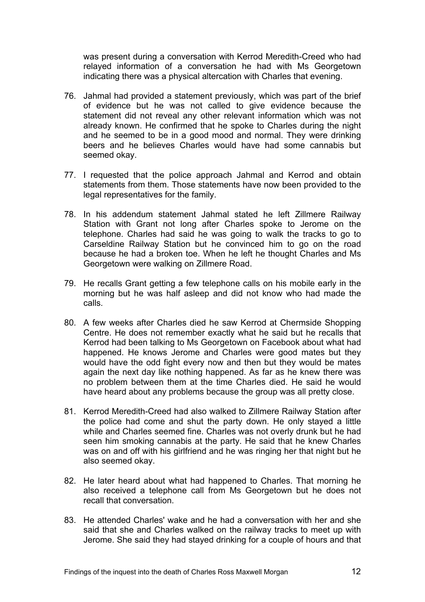was present during a conversation with Kerrod Meredith-Creed who had relayed information of a conversation he had with Ms Georgetown indicating there was a physical altercation with Charles that evening.

- 76. Jahmal had provided a statement previously, which was part of the brief of evidence but he was not called to give evidence because the statement did not reveal any other relevant information which was not already known. He confirmed that he spoke to Charles during the night and he seemed to be in a good mood and normal. They were drinking beers and he believes Charles would have had some cannabis but seemed okay.
- 77. I requested that the police approach Jahmal and Kerrod and obtain statements from them. Those statements have now been provided to the legal representatives for the family.
- 78. In his addendum statement Jahmal stated he left Zillmere Railway Station with Grant not long after Charles spoke to Jerome on the telephone. Charles had said he was going to walk the tracks to go to Carseldine Railway Station but he convinced him to go on the road because he had a broken toe. When he left he thought Charles and Ms Georgetown were walking on Zillmere Road.
- 79. He recalls Grant getting a few telephone calls on his mobile early in the morning but he was half asleep and did not know who had made the calls.
- 80. A few weeks after Charles died he saw Kerrod at Chermside Shopping Centre. He does not remember exactly what he said but he recalls that Kerrod had been talking to Ms Georgetown on Facebook about what had happened. He knows Jerome and Charles were good mates but they would have the odd fight every now and then but they would be mates again the next day like nothing happened. As far as he knew there was no problem between them at the time Charles died. He said he would have heard about any problems because the group was all pretty close.
- 81. Kerrod Meredith-Creed had also walked to Zillmere Railway Station after the police had come and shut the party down. He only stayed a little while and Charles seemed fine. Charles was not overly drunk but he had seen him smoking cannabis at the party. He said that he knew Charles was on and off with his girlfriend and he was ringing her that night but he also seemed okay.
- 82. He later heard about what had happened to Charles. That morning he also received a telephone call from Ms Georgetown but he does not recall that conversation.
- 83. He attended Charles' wake and he had a conversation with her and she said that she and Charles walked on the railway tracks to meet up with Jerome. She said they had stayed drinking for a couple of hours and that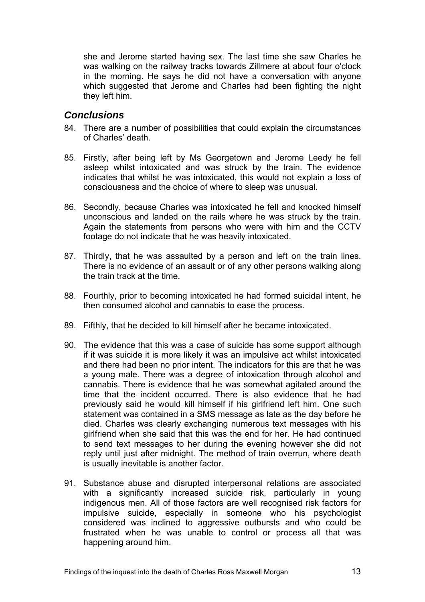<span id="page-13-0"></span>she and Jerome started having sex. The last time she saw Charles he was walking on the railway tracks towards Zillmere at about four o'clock in the morning. He says he did not have a conversation with anyone which suggested that Jerome and Charles had been fighting the night they left him.

#### *Conclusions*

- 84. There are a number of possibilities that could explain the circumstances of Charles' death.
- 85. Firstly, after being left by Ms Georgetown and Jerome Leedy he fell asleep whilst intoxicated and was struck by the train. The evidence indicates that whilst he was intoxicated, this would not explain a loss of consciousness and the choice of where to sleep was unusual.
- 86. Secondly, because Charles was intoxicated he fell and knocked himself unconscious and landed on the rails where he was struck by the train. Again the statements from persons who were with him and the CCTV footage do not indicate that he was heavily intoxicated.
- 87. Thirdly, that he was assaulted by a person and left on the train lines. There is no evidence of an assault or of any other persons walking along the train track at the time.
- 88. Fourthly, prior to becoming intoxicated he had formed suicidal intent, he then consumed alcohol and cannabis to ease the process.
- 89. Fifthly, that he decided to kill himself after he became intoxicated.
- 90. The evidence that this was a case of suicide has some support although if it was suicide it is more likely it was an impulsive act whilst intoxicated and there had been no prior intent. The indicators for this are that he was a young male. There was a degree of intoxication through alcohol and cannabis. There is evidence that he was somewhat agitated around the time that the incident occurred. There is also evidence that he had previously said he would kill himself if his girlfriend left him. One such statement was contained in a SMS message as late as the day before he died. Charles was clearly exchanging numerous text messages with his girlfriend when she said that this was the end for her. He had continued to send text messages to her during the evening however she did not reply until just after midnight. The method of train overrun, where death is usually inevitable is another factor.
- 91. Substance abuse and disrupted interpersonal relations are associated with a significantly increased suicide risk, particularly in young indigenous men. All of those factors are well recognised risk factors for impulsive suicide, especially in someone who his psychologist considered was inclined to aggressive outbursts and who could be frustrated when he was unable to control or process all that was happening around him.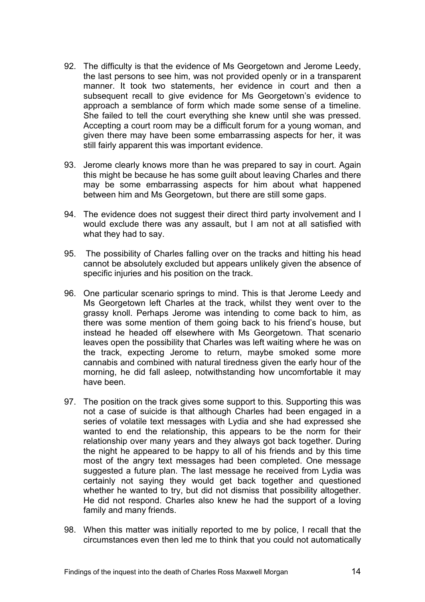- 92. The difficulty is that the evidence of Ms Georgetown and Jerome Leedy, the last persons to see him, was not provided openly or in a transparent manner. It took two statements, her evidence in court and then a subsequent recall to give evidence for Ms Georgetown's evidence to approach a semblance of form which made some sense of a timeline. She failed to tell the court everything she knew until she was pressed. Accepting a court room may be a difficult forum for a young woman, and given there may have been some embarrassing aspects for her, it was still fairly apparent this was important evidence.
- 93. Jerome clearly knows more than he was prepared to say in court. Again this might be because he has some guilt about leaving Charles and there may be some embarrassing aspects for him about what happened between him and Ms Georgetown, but there are still some gaps.
- 94. The evidence does not suggest their direct third party involvement and I would exclude there was any assault, but I am not at all satisfied with what they had to say.
- 95. The possibility of Charles falling over on the tracks and hitting his head cannot be absolutely excluded but appears unlikely given the absence of specific injuries and his position on the track.
- 96. One particular scenario springs to mind. This is that Jerome Leedy and Ms Georgetown left Charles at the track, whilst they went over to the grassy knoll. Perhaps Jerome was intending to come back to him, as there was some mention of them going back to his friend's house, but instead he headed off elsewhere with Ms Georgetown. That scenario leaves open the possibility that Charles was left waiting where he was on the track, expecting Jerome to return, maybe smoked some more cannabis and combined with natural tiredness given the early hour of the morning, he did fall asleep, notwithstanding how uncomfortable it may have been.
- 97. The position on the track gives some support to this. Supporting this was not a case of suicide is that although Charles had been engaged in a series of volatile text messages with Lydia and she had expressed she wanted to end the relationship, this appears to be the norm for their relationship over many years and they always got back together. During the night he appeared to be happy to all of his friends and by this time most of the angry text messages had been completed. One message suggested a future plan. The last message he received from Lydia was certainly not saying they would get back together and questioned whether he wanted to try, but did not dismiss that possibility altogether. He did not respond. Charles also knew he had the support of a loving family and many friends.
- 98. When this matter was initially reported to me by police, I recall that the circumstances even then led me to think that you could not automatically